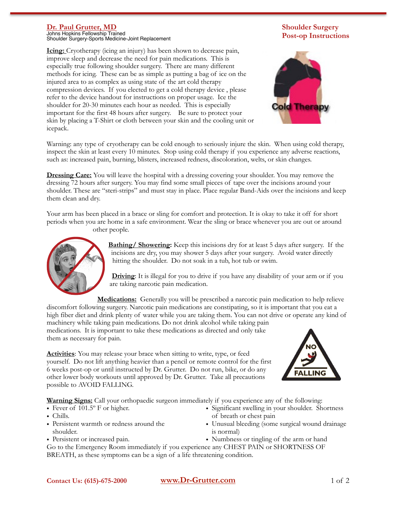## **Dr. Paul Grutter, MD**

Johns Hopkins Fellowship Trained Shoulder Surgery-Sports Medicine-Joint Replacement

**Icing:** Cryotherapy (icing an injury) has been shown to decrease pain, improve sleep and decrease the need for pain medications. This is especially true following shoulder surgery. There are many different methods for icing. These can be as simple as putting a bag of ice on the injured area to as complex as using state of the art cold therapy compression devices. If you elected to get a cold therapy device , please refer to the device handout for instructions on proper usage. Ice the shoulder for 20-30 minutes each hour as needed. This is especially important for the first 48 hours after surgery. Be sure to protect your skin by placing a T-Shirt or cloth between your skin and the cooling unit or icepack.

## **Shoulder Surgery Post-op Instructions**



Warning: any type of cryotherapy can be cold enough to seriously injure the skin. When using cold therapy, inspect the skin at least every 10 minutes. Stop using cold therapy if you experience any adverse reactions, such as: increased pain, burning, blisters, increased redness, discoloration, welts, or skin changes.

**Dressing Care:** You will leave the hospital with a dressing covering your shoulder. You may remove the dressing 72 hours after surgery. You may find some small pieces of tape over the incisions around your shoulder. These are "steri-strips" and must stay in place. Place regular Band-Aids over the incisions and keep them clean and dry.

Your arm has been placed in a brace or sling for comfort and protection. It is okay to take it off for short periods when you are home in a safe environment. Wear the sling or brace whenever you are out or around other people.



**Bathing/ Showering:** Keep this incisions dry for at least 5 days after surgery. If the incisions are dry, you may shower 5 days after your surgery. Avoid water directly hitting the shoulder. Do not soak in a tub, hot tub or swim.

**Driving**: It is illegal for you to drive if you have any disability of your arm or if you are taking narcotic pain medication.

**Medications:** Generally you will be prescribed a narcotic pain medication to help relieve discomfort following surgery. Narcotic pain medications are constipating, so it is important that you eat a high fiber diet and drink plenty of water while you are taking them. You can not drive or operate any kind of machinery while taking pain medications. Do not drink alcohol while taking pain medications. It is important to take these medications as directed and only take them as necessary for pain.

**Activities**: You may release your brace when sitting to write, type, or feed yourself. Do not lift anything heavier than a pencil or remote control for the first 6 weeks post-op or until instructed by Dr. Grutter. Do not run, bike, or do any other lower body workouts until approved by Dr. Grutter. Take all precautions possible to AVOID FALLING.



**Warning Signs:** Call your orthopaedic surgeon immediately if you experience any of the following:

- Fever of 101.5° F or higher.
- Chills.
- Persistent warmth or redness around the shoulder.
- Persistent or increased pain.
- Significant swelling in your shoulder. Shortness of breath or chest pain
- Unusual bleeding (some surgical wound drainage is normal)
- Numbness or tingling of the arm or hand

Go to the Emergency Room immediately if you experience any CHEST PAIN or SHORTNESS OF BREATH, as these symptoms can be a sign of a life threatening condition.